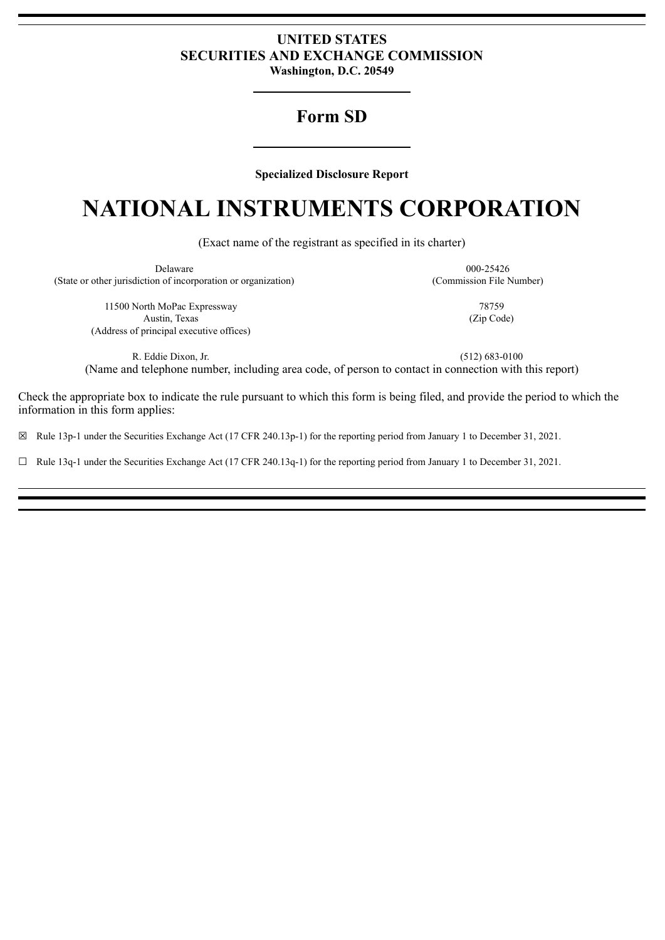# **UNITED STATES SECURITIES AND EXCHANGE COMMISSION Washington, D.C. 20549**

# **Form SD**

**Specialized Disclosure Report**

# **NATIONAL INSTRUMENTS CORPORATION**

(Exact name of the registrant as specified in its charter)

| <b>Delaware</b>                                                | 000-25426                |
|----------------------------------------------------------------|--------------------------|
| (State or other jurisdiction of incorporation or organization) | (Commission File Number) |
| 11500 North MoPac Expressway                                   | 78759                    |
| Austin, Texas                                                  | (Zip Code)               |
| (Address of principal executive offices)                       |                          |

R. Eddie Dixon, Jr. (512) 683-0100 (Name and telephone number, including area code, of person to contact in connection with this report)

Check the appropriate box to indicate the rule pursuant to which this form is being filed, and provide the period to which the information in this form applies:

☒ Rule 13p-1 under the Securities Exchange Act (17 CFR 240.13p-1) for the reporting period from January 1 to December 31, 2021.

 $\Box$  Rule 13q-1 under the Securities Exchange Act (17 CFR 240.13q-1) for the reporting period from January 1 to December 31, 2021.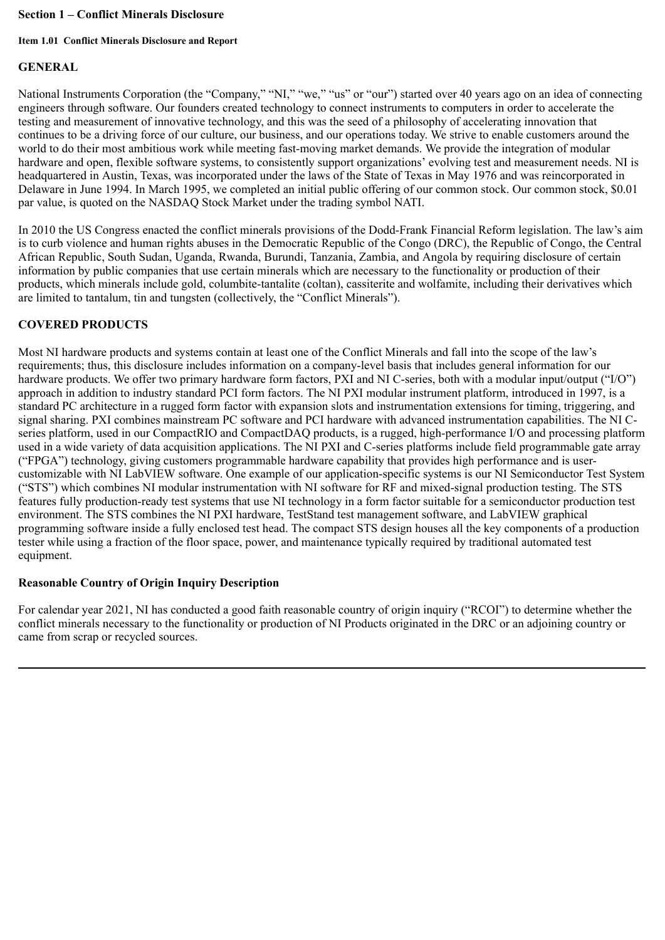#### **Section 1 – Conflict Minerals Disclosure**

#### **Item 1.01 Conflict Minerals Disclosure and Report**

# **GENERAL**

National Instruments Corporation (the "Company," "NI," "we," "us" or "our") started over 40 years ago on an idea of connecting engineers through software. Our founders created technology to connect instruments to computers in order to accelerate the testing and measurement of innovative technology, and this was the seed of a philosophy of accelerating innovation that continues to be a driving force of our culture, our business, and our operations today. We strive to enable customers around the world to do their most ambitious work while meeting fast-moving market demands. We provide the integration of modular hardware and open, flexible software systems, to consistently support organizations' evolving test and measurement needs. NI is headquartered in Austin, Texas, was incorporated under the laws of the State of Texas in May 1976 and was reincorporated in Delaware in June 1994. In March 1995, we completed an initial public offering of our common stock. Our common stock, \$0.01 par value, is quoted on the NASDAQ Stock Market under the trading symbol NATI.

In 2010 the US Congress enacted the conflict minerals provisions of the Dodd-Frank Financial Reform legislation. The law's aim is to curb violence and human rights abuses in the Democratic Republic of the Congo (DRC), the Republic of Congo, the Central African Republic, South Sudan, Uganda, Rwanda, Burundi, Tanzania, Zambia, and Angola by requiring disclosure of certain information by public companies that use certain minerals which are necessary to the functionality or production of their products, which minerals include gold, columbite-tantalite (coltan), cassiterite and wolfamite, including their derivatives which are limited to tantalum, tin and tungsten (collectively, the "Conflict Minerals").

# **COVERED PRODUCTS**

Most NI hardware products and systems contain at least one of the Conflict Minerals and fall into the scope of the law's requirements; thus, this disclosure includes information on a company-level basis that includes general information for our hardware products. We offer two primary hardware form factors, PXI and NI C-series, both with a modular input/output ("I/O") approach in addition to industry standard PCI form factors. The NI PXI modular instrument platform, introduced in 1997, is a standard PC architecture in a rugged form factor with expansion slots and instrumentation extensions for timing, triggering, and signal sharing. PXI combines mainstream PC software and PCI hardware with advanced instrumentation capabilities. The NI Cseries platform, used in our CompactRIO and CompactDAQ products, is a rugged, high-performance I/O and processing platform used in a wide variety of data acquisition applications. The NI PXI and C-series platforms include field programmable gate array ("FPGA") technology, giving customers programmable hardware capability that provides high performance and is usercustomizable with NI LabVIEW software. One example of our application-specific systems is our NI Semiconductor Test System ("STS") which combines NI modular instrumentation with NI software for RF and mixed-signal production testing. The STS features fully production-ready test systems that use NI technology in a form factor suitable for a semiconductor production test environment. The STS combines the NI PXI hardware, TestStand test management software, and LabVIEW graphical programming software inside a fully enclosed test head. The compact STS design houses all the key components of a production tester while using a fraction of the floor space, power, and maintenance typically required by traditional automated test equipment.

#### **Reasonable Country of Origin Inquiry Description**

For calendar year 2021, NI has conducted a good faith reasonable country of origin inquiry ("RCOI") to determine whether the conflict minerals necessary to the functionality or production of NI Products originated in the DRC or an adjoining country or came from scrap or recycled sources.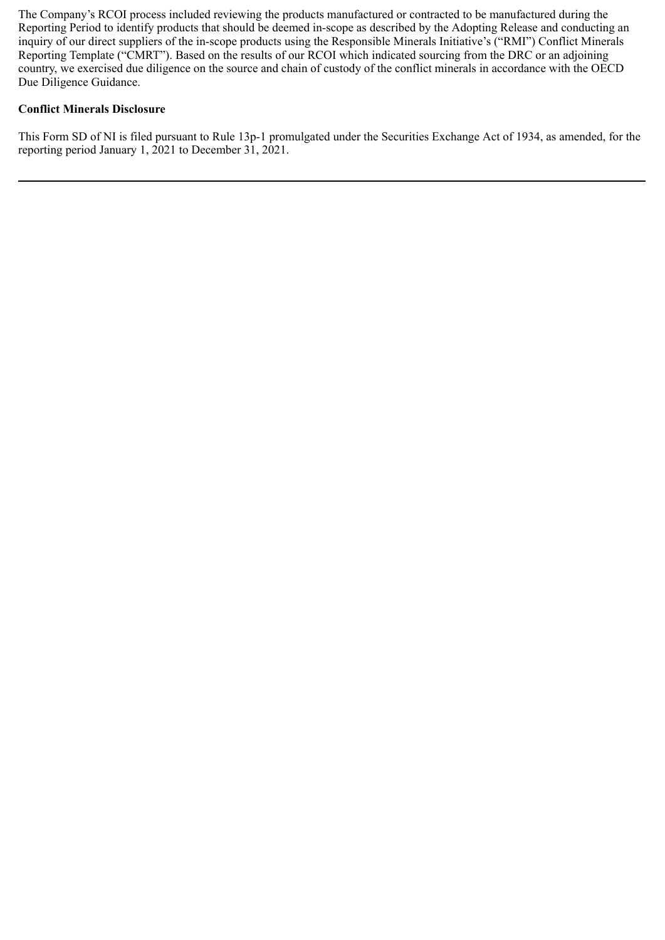The Company's RCOI process included reviewing the products manufactured or contracted to be manufactured during the Reporting Period to identify products that should be deemed in-scope as described by the Adopting Release and conducting an inquiry of our direct suppliers of the in-scope products using the Responsible Minerals Initiative's ("RMI") Conflict Minerals Reporting Template ("CMRT"). Based on the results of our RCOI which indicated sourcing from the DRC or an adjoining country, we exercised due diligence on the source and chain of custody of the conflict minerals in accordance with the OECD Due Diligence Guidance.

# **Conflict Minerals Disclosure**

This Form SD of NI is filed pursuant to Rule 13p-1 promulgated under the Securities Exchange Act of 1934, as amended, for the reporting period January 1, 2021 to December 31, 2021.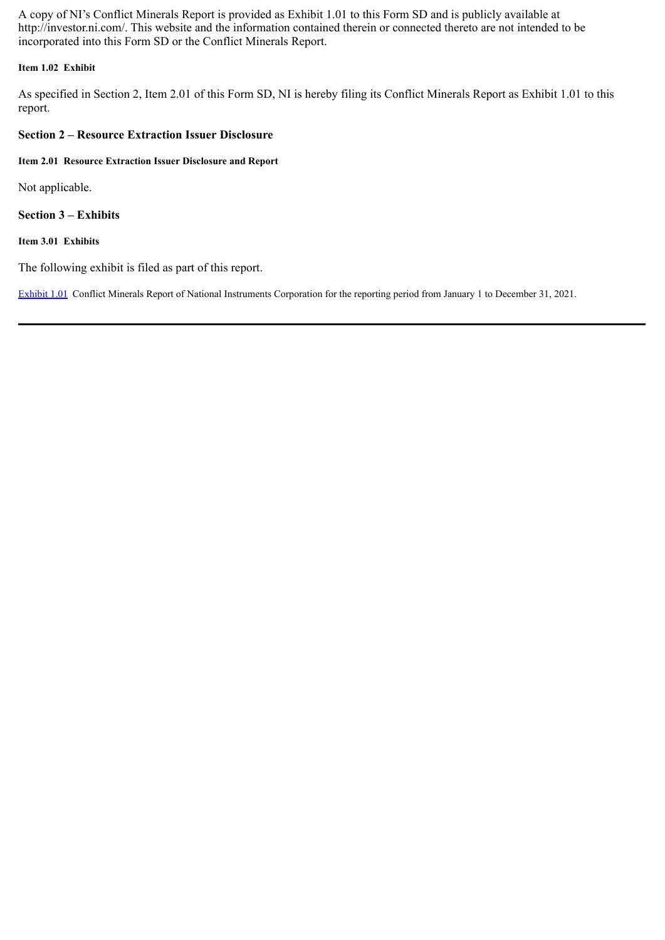A copy of NI's Conflict Minerals Report is provided as Exhibit 1.01 to this Form SD and is publicly available at http://investor.ni.com/. This website and the information contained therein or connected thereto are not intended to be incorporated into this Form SD or the Conflict Minerals Report.

#### **Item 1.02 Exhibit**

As specified in Section 2, Item 2.01 of this Form SD, NI is hereby filing its Conflict Minerals Report as Exhibit 1.01 to this report.

#### **Section 2 – Resource Extraction Issuer Disclosure**

**Item 2.01 Resource Extraction Issuer Disclosure and Report**

Not applicable.

**Section 3 – Exhibits**

**Item 3.01 Exhibits**

The following exhibit is filed as part of this report.

[Exhibit](#page-5-0) 1.01 Conflict Minerals Report of National Instruments Corporation for the reporting period from January 1 to December 31, 2021.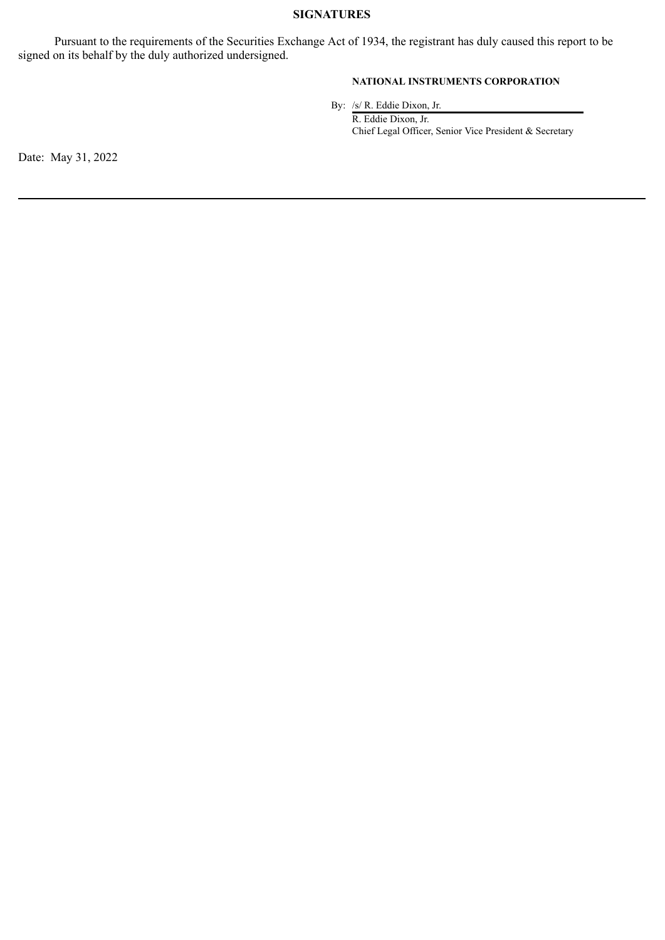#### **SIGNATURES**

Pursuant to the requirements of the Securities Exchange Act of 1934, the registrant has duly caused this report to be signed on its behalf by the duly authorized undersigned.

## **NATIONAL INSTRUMENTS CORPORATION**

By: /s/ R. Eddie Dixon, Jr.

R. Eddie Dixon, Jr. Chief Legal Officer, Senior Vice President & Secretary

Date: May 31, 2022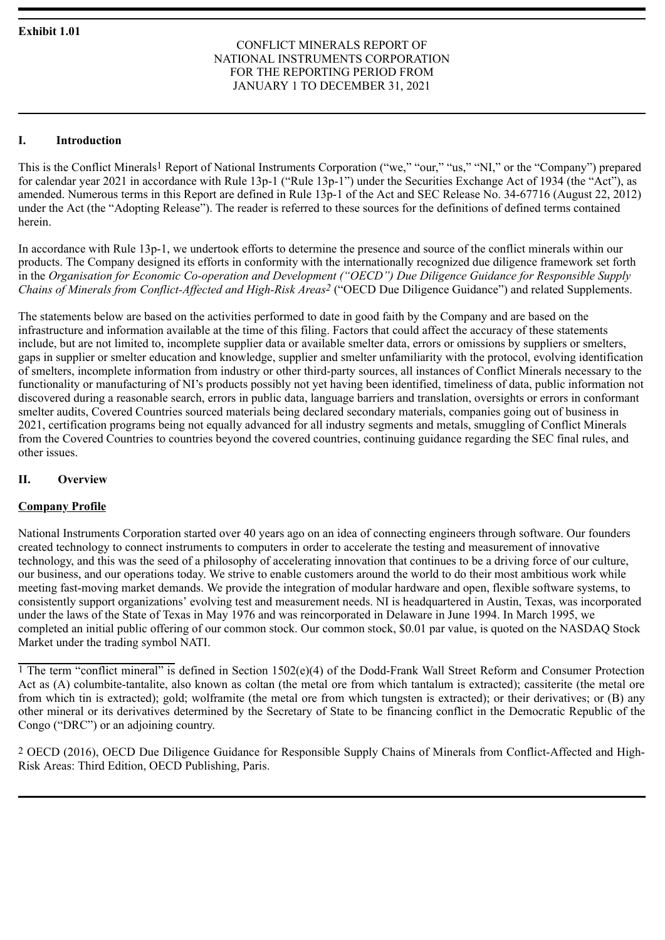#### CONFLICT MINERALS REPORT OF NATIONAL INSTRUMENTS CORPORATION FOR THE REPORTING PERIOD FROM JANUARY 1 TO DECEMBER 31, 2021

# <span id="page-5-0"></span>**I. Introduction**

This is the Conflict Minerals<sup>1</sup> Report of National Instruments Corporation ("we," "our," "us," "NI," or the "Company") prepared for calendar year 2021 in accordance with Rule 13p-1 ("Rule 13p-1") under the Securities Exchange Act of 1934 (the "Act"), as amended. Numerous terms in this Report are defined in Rule 13p-1 of the Act and SEC Release No. 34-67716 (August 22, 2012) under the Act (the "Adopting Release"). The reader is referred to these sources for the definitions of defined terms contained herein.

In accordance with Rule 13p-1, we undertook efforts to determine the presence and source of the conflict minerals within our products. The Company designed its efforts in conformity with the internationally recognized due diligence framework set forth in the *Organisation for Economic Co-operation and Development ("OECD") Due Diligence Guidance for Responsible Supply Chains of Minerals from Conflict-Affected and High-Risk Areas2* ("OECD Due Diligence Guidance") and related Supplements.

The statements below are based on the activities performed to date in good faith by the Company and are based on the infrastructure and information available at the time of this filing. Factors that could affect the accuracy of these statements include, but are not limited to, incomplete supplier data or available smelter data, errors or omissions by suppliers or smelters, gaps in supplier or smelter education and knowledge, supplier and smelter unfamiliarity with the protocol, evolving identification of smelters, incomplete information from industry or other third-party sources, all instances of Conflict Minerals necessary to the functionality or manufacturing of NI's products possibly not yet having been identified, timeliness of data, public information not discovered during a reasonable search, errors in public data, language barriers and translation, oversights or errors in conformant smelter audits, Covered Countries sourced materials being declared secondary materials, companies going out of business in 2021, certification programs being not equally advanced for all industry segments and metals, smuggling of Conflict Minerals from the Covered Countries to countries beyond the covered countries, continuing guidance regarding the SEC final rules, and other issues.

# **II. Overview**

# **Company Profile**

National Instruments Corporation started over 40 years ago on an idea of connecting engineers through software. Our founders created technology to connect instruments to computers in order to accelerate the testing and measurement of innovative technology, and this was the seed of a philosophy of accelerating innovation that continues to be a driving force of our culture, our business, and our operations today. We strive to enable customers around the world to do their most ambitious work while meeting fast-moving market demands. We provide the integration of modular hardware and open, flexible software systems, to consistently support organizations' evolving test and measurement needs. NI is headquartered in Austin, Texas, was incorporated under the laws of the State of Texas in May 1976 and was reincorporated in Delaware in June 1994. In March 1995, we completed an initial public offering of our common stock. Our common stock, \$0.01 par value, is quoted on the NASDAQ Stock Market under the trading symbol NATI.

<sup>1</sup> The term "conflict mineral" is defined in Section 1502(e)(4) of the Dodd-Frank Wall Street Reform and Consumer Protection Act as (A) columbite-tantalite, also known as coltan (the metal ore from which tantalum is extracted); cassiterite (the metal ore from which tin is extracted); gold; wolframite (the metal ore from which tungsten is extracted); or their derivatives; or (B) any other mineral or its derivatives determined by the Secretary of State to be financing conflict in the Democratic Republic of the Congo ("DRC") or an adjoining country.

2 OECD (2016), OECD Due Diligence Guidance for Responsible Supply Chains of Minerals from Conflict-Affected and High-Risk Areas: Third Edition, OECD Publishing, Paris.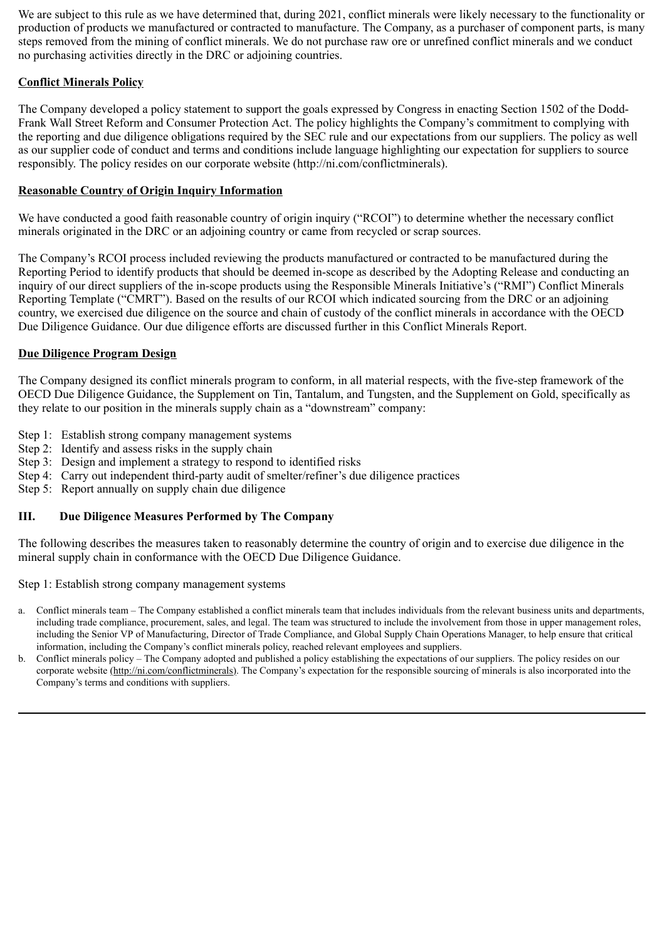We are subject to this rule as we have determined that, during 2021, conflict minerals were likely necessary to the functionality or production of products we manufactured or contracted to manufacture. The Company, as a purchaser of component parts, is many steps removed from the mining of conflict minerals. We do not purchase raw ore or unrefined conflict minerals and we conduct no purchasing activities directly in the DRC or adjoining countries.

# **Conflict Minerals Policy**

The Company developed a policy statement to support the goals expressed by Congress in enacting Section 1502 of the Dodd-Frank Wall Street Reform and Consumer Protection Act. The policy highlights the Company's commitment to complying with the reporting and due diligence obligations required by the SEC rule and our expectations from our suppliers. The policy as well as our supplier code of conduct and terms and conditions include language highlighting our expectation for suppliers to source responsibly. The policy resides on our corporate website (http://ni.com/conflictminerals).

# **Reasonable Country of Origin Inquiry Information**

We have conducted a good faith reasonable country of origin inquiry ("RCOI") to determine whether the necessary conflict minerals originated in the DRC or an adjoining country or came from recycled or scrap sources.

The Company's RCOI process included reviewing the products manufactured or contracted to be manufactured during the Reporting Period to identify products that should be deemed in-scope as described by the Adopting Release and conducting an inquiry of our direct suppliers of the in-scope products using the Responsible Minerals Initiative's ("RMI") Conflict Minerals Reporting Template ("CMRT"). Based on the results of our RCOI which indicated sourcing from the DRC or an adjoining country, we exercised due diligence on the source and chain of custody of the conflict minerals in accordance with the OECD Due Diligence Guidance. Our due diligence efforts are discussed further in this Conflict Minerals Report.

## **Due Diligence Program Design**

The Company designed its conflict minerals program to conform, in all material respects, with the five-step framework of the OECD Due Diligence Guidance, the Supplement on Tin, Tantalum, and Tungsten, and the Supplement on Gold, specifically as they relate to our position in the minerals supply chain as a "downstream" company:

- Step 1: Establish strong company management systems
- Step 2: Identify and assess risks in the supply chain
- Step 3: Design and implement a strategy to respond to identified risks
- Step 4: Carry out independent third-party audit of smelter/refiner's due diligence practices
- Step 5: Report annually on supply chain due diligence

#### **III. Due Diligence Measures Performed by The Company**

The following describes the measures taken to reasonably determine the country of origin and to exercise due diligence in the mineral supply chain in conformance with the OECD Due Diligence Guidance.

Step 1: Establish strong company management systems

- a. Conflict minerals team The Company established a conflict minerals team that includes individuals from the relevant business units and departments, including trade compliance, procurement, sales, and legal. The team was structured to include the involvement from those in upper management roles, including the Senior VP of Manufacturing, Director of Trade Compliance, and Global Supply Chain Operations Manager, to help ensure that critical information, including the Company's conflict minerals policy, reached relevant employees and suppliers.
- b. Conflict minerals policy The Company adopted and published a policy establishing the expectations of our suppliers. The policy resides on our corporate website (http://ni.com/conflictminerals). The Company's expectation for the responsible sourcing of minerals is also incorporated into the Company's terms and conditions with suppliers.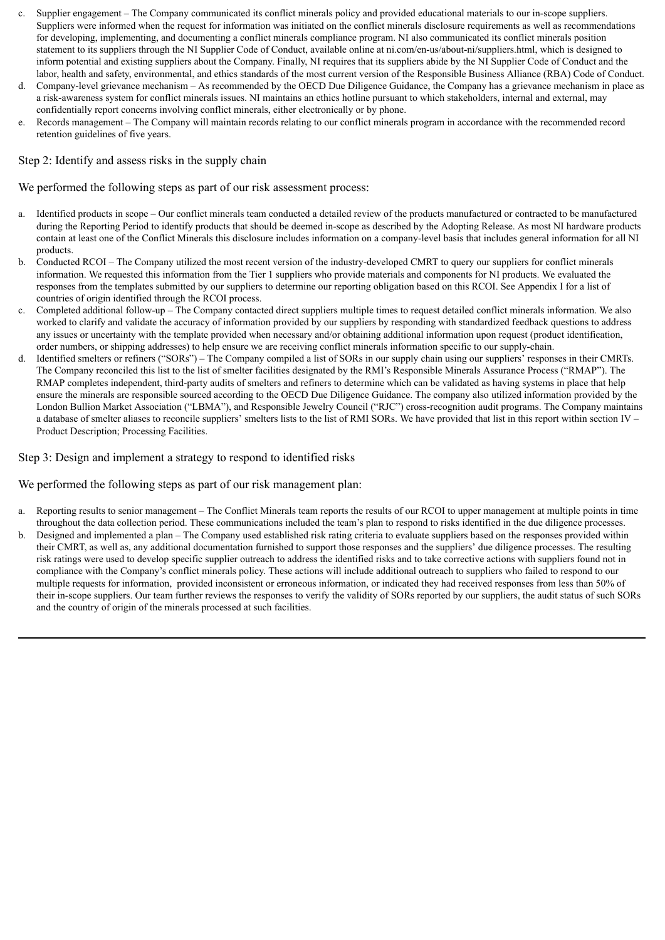- c. Supplier engagement The Company communicated its conflict minerals policy and provided educational materials to our in-scope suppliers. Suppliers were informed when the request for information was initiated on the conflict minerals disclosure requirements as well as recommendations for developing, implementing, and documenting a conflict minerals compliance program. NI also communicated its conflict minerals position statement to its suppliers through the NI Supplier Code of Conduct, available online at ni.com/en-us/about-ni/suppliers.html, which is designed to inform potential and existing suppliers about the Company. Finally, NI requires that its suppliers abide by the NI Supplier Code of Conduct and the labor, health and safety, environmental, and ethics standards of the most current version of the Responsible Business Alliance (RBA) Code of Conduct.
- d. Company-level grievance mechanism As recommended by the OECD Due Diligence Guidance, the Company has a grievance mechanism in place as a risk-awareness system for conflict minerals issues. NI maintains an ethics hotline pursuant to which stakeholders, internal and external, may confidentially report concerns involving conflict minerals, either electronically or by phone.
- e. Records management The Company will maintain records relating to our conflict minerals program in accordance with the recommended record retention guidelines of five years.

#### Step 2: Identify and assess risks in the supply chain

We performed the following steps as part of our risk assessment process:

- a. Identified products in scope Our conflict minerals team conducted a detailed review of the products manufactured or contracted to be manufactured during the Reporting Period to identify products that should be deemed in-scope as described by the Adopting Release. As most NI hardware products contain at least one of the Conflict Minerals this disclosure includes information on a company-level basis that includes general information for all NI products.
- b. Conducted RCOI The Company utilized the most recent version of the industry-developed CMRT to query our suppliers for conflict minerals information. We requested this information from the Tier 1 suppliers who provide materials and components for NI products. We evaluated the responses from the templates submitted by our suppliers to determine our reporting obligation based on this RCOI. See Appendix I for a list of countries of origin identified through the RCOI process.
- c. Completed additional follow-up The Company contacted direct suppliers multiple times to request detailed conflict minerals information. We also worked to clarify and validate the accuracy of information provided by our suppliers by responding with standardized feedback questions to address any issues or uncertainty with the template provided when necessary and/or obtaining additional information upon request (product identification, order numbers, or shipping addresses) to help ensure we are receiving conflict minerals information specific to our supply-chain.
- d. Identified smelters or refiners ("SORs") The Company compiled a list of SORs in our supply chain using our suppliers' responses in their CMRTs. The Company reconciled this list to the list of smelter facilities designated by the RMI's Responsible Minerals Assurance Process ("RMAP"). The RMAP completes independent, third-party audits of smelters and refiners to determine which can be validated as having systems in place that help ensure the minerals are responsible sourced according to the OECD Due Diligence Guidance. The company also utilized information provided by the London Bullion Market Association ("LBMA"), and Responsible Jewelry Council ("RJC") cross-recognition audit programs. The Company maintains a database of smelter aliases to reconcile suppliers' smelters lists to the list of RMI SORs. We have provided that list in this report within section IV – Product Description; Processing Facilities.

#### Step 3: Design and implement a strategy to respond to identified risks

We performed the following steps as part of our risk management plan:

- a. Reporting results to senior management The Conflict Minerals team reports the results of our RCOI to upper management at multiple points in time throughout the data collection period. These communications included the team's plan to respond to risks identified in the due diligence processes.
- b. Designed and implemented a plan The Company used established risk rating criteria to evaluate suppliers based on the responses provided within their CMRT, as well as, any additional documentation furnished to support those responses and the suppliers' due diligence processes. The resulting risk ratings were used to develop specific supplier outreach to address the identified risks and to take corrective actions with suppliers found not in compliance with the Company's conflict minerals policy. These actions will include additional outreach to suppliers who failed to respond to our multiple requests for information, provided inconsistent or erroneous information, or indicated they had received responses from less than 50% of their in-scope suppliers. Our team further reviews the responses to verify the validity of SORs reported by our suppliers, the audit status of such SORs and the country of origin of the minerals processed at such facilities.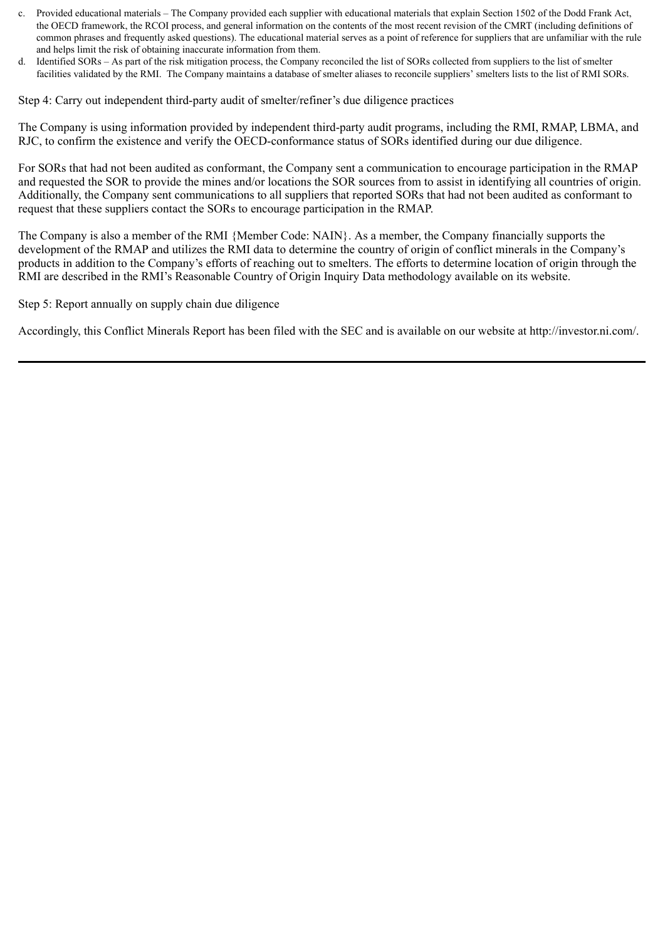- c. Provided educational materials The Company provided each supplier with educational materials that explain Section 1502 of the Dodd Frank Act, the OECD framework, the RCOI process, and general information on the contents of the most recent revision of the CMRT (including definitions of common phrases and frequently asked questions). The educational material serves as a point of reference for suppliers that are unfamiliar with the rule and helps limit the risk of obtaining inaccurate information from them.
- d. Identified SORs As part of the risk mitigation process, the Company reconciled the list of SORs collected from suppliers to the list of smelter facilities validated by the RMI. The Company maintains a database of smelter aliases to reconcile suppliers' smelters lists to the list of RMI SORs.

Step 4: Carry out independent third-party audit of smelter/refiner's due diligence practices

The Company is using information provided by independent third-party audit programs, including the RMI, RMAP, LBMA, and RJC, to confirm the existence and verify the OECD-conformance status of SORs identified during our due diligence.

For SORs that had not been audited as conformant, the Company sent a communication to encourage participation in the RMAP and requested the SOR to provide the mines and/or locations the SOR sources from to assist in identifying all countries of origin. Additionally, the Company sent communications to all suppliers that reported SORs that had not been audited as conformant to request that these suppliers contact the SORs to encourage participation in the RMAP.

The Company is also a member of the RMI {Member Code: NAIN}. As a member, the Company financially supports the development of the RMAP and utilizes the RMI data to determine the country of origin of conflict minerals in the Company's products in addition to the Company's efforts of reaching out to smelters. The efforts to determine location of origin through the RMI are described in the RMI's Reasonable Country of Origin Inquiry Data methodology available on its website.

Step 5: Report annually on supply chain due diligence

Accordingly, this Conflict Minerals Report has been filed with the SEC and is available on our website at http://investor.ni.com/.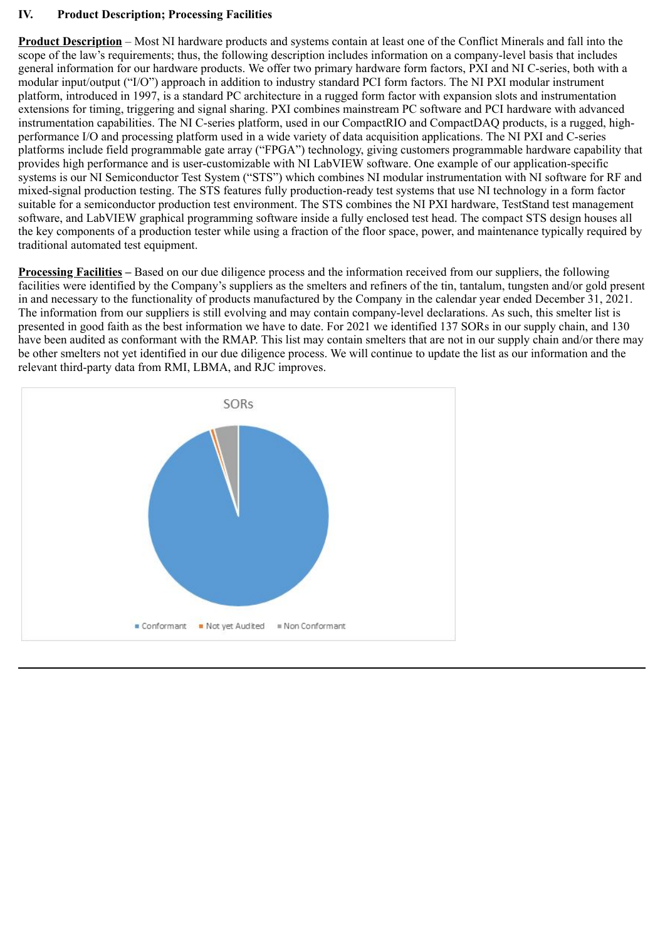# **IV. Product Description; Processing Facilities**

**Product Description** – Most NI hardware products and systems contain at least one of the Conflict Minerals and fall into the scope of the law's requirements; thus, the following description includes information on a company-level basis that includes general information for our hardware products. We offer two primary hardware form factors, PXI and NI C-series, both with a modular input/output ("I/O") approach in addition to industry standard PCI form factors. The NI PXI modular instrument platform, introduced in 1997, is a standard PC architecture in a rugged form factor with expansion slots and instrumentation extensions for timing, triggering and signal sharing. PXI combines mainstream PC software and PCI hardware with advanced instrumentation capabilities. The NI C-series platform, used in our CompactRIO and CompactDAQ products, is a rugged, highperformance I/O and processing platform used in a wide variety of data acquisition applications. The NI PXI and C-series platforms include field programmable gate array ("FPGA") technology, giving customers programmable hardware capability that provides high performance and is user-customizable with NI LabVIEW software. One example of our application-specific systems is our NI Semiconductor Test System ("STS") which combines NI modular instrumentation with NI software for RF and mixed-signal production testing. The STS features fully production-ready test systems that use NI technology in a form factor suitable for a semiconductor production test environment. The STS combines the NI PXI hardware, TestStand test management software, and LabVIEW graphical programming software inside a fully enclosed test head. The compact STS design houses all the key components of a production tester while using a fraction of the floor space, power, and maintenance typically required by traditional automated test equipment.

**Processing Facilities –** Based on our due diligence process and the information received from our suppliers, the following facilities were identified by the Company's suppliers as the smelters and refiners of the tin, tantalum, tungsten and/or gold present in and necessary to the functionality of products manufactured by the Company in the calendar year ended December 31, 2021. The information from our suppliers is still evolving and may contain company-level declarations. As such, this smelter list is presented in good faith as the best information we have to date. For 2021 we identified 137 SORs in our supply chain, and 130 have been audited as conformant with the RMAP. This list may contain smelters that are not in our supply chain and/or there may be other smelters not yet identified in our due diligence process. We will continue to update the list as our information and the relevant third-party data from RMI, LBMA, and RJC improves.

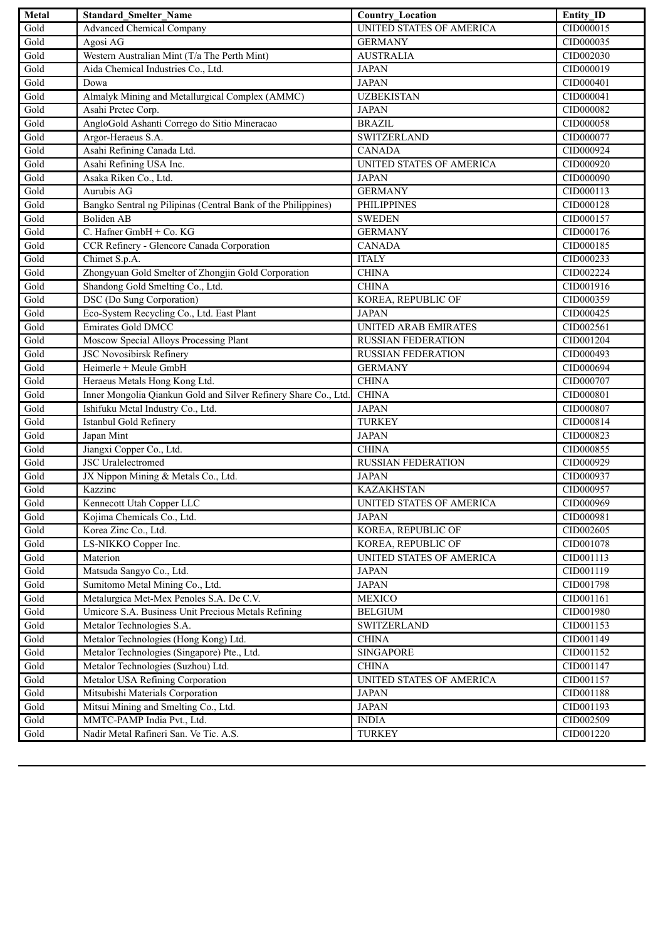| Metal             | <b>Standard Smelter Name</b>                                    | <b>Country_Location</b>         | Entity ID |
|-------------------|-----------------------------------------------------------------|---------------------------------|-----------|
| Gold              | <b>Advanced Chemical Company</b>                                | UNITED STATES OF AMERICA        | CID000015 |
| Gold              | Agosi AG                                                        | <b>GERMANY</b>                  | CID000035 |
| Gold              | Western Australian Mint (T/a The Perth Mint)                    | <b>AUSTRALIA</b>                | CID002030 |
| Gold              | Aida Chemical Industries Co., Ltd.                              | <b>JAPAN</b>                    | CID000019 |
| Gold              | Dowa                                                            | <b>JAPAN</b>                    | CID000401 |
| Gold              | Almalyk Mining and Metallurgical Complex (AMMC)                 | <b>UZBEKISTAN</b>               | CID000041 |
| Gold              | Asahi Pretec Corp.                                              | <b>JAPAN</b>                    | CID000082 |
| Gold              | AngloGold Ashanti Corrego do Sitio Mineracao                    | <b>BRAZIL</b>                   | CID000058 |
| Gold              | Argor-Heraeus S.A.                                              | <b>SWITZERLAND</b>              | CID000077 |
| Gold              | Asahi Refining Canada Ltd.                                      | <b>CANADA</b>                   | CID000924 |
| Gold              | Asahi Refining USA Inc.                                         | UNITED STATES OF AMERICA        | CID000920 |
| Gold              | Asaka Riken Co., Ltd.                                           | <b>JAPAN</b>                    | CID000090 |
| Gold              | Aurubis AG                                                      | <b>GERMANY</b>                  | CID000113 |
| Gold              | Bangko Sentral ng Pilipinas (Central Bank of the Philippines)   | <b>PHILIPPINES</b>              | CID000128 |
| Gold              | <b>Boliden AB</b>                                               | <b>SWEDEN</b>                   | CID000157 |
| Gold              | C. Hafner GmbH + Co. KG                                         | <b>GERMANY</b>                  | CID000176 |
| Gold              | CCR Refinery - Glencore Canada Corporation                      | <b>CANADA</b>                   | CID000185 |
| Gold              | Chimet S.p.A.                                                   | <b>ITALY</b>                    | CID000233 |
| Gold              | Zhongyuan Gold Smelter of Zhongjin Gold Corporation             | <b>CHINA</b>                    | CID002224 |
| Gold              | Shandong Gold Smelting Co., Ltd.                                | <b>CHINA</b>                    | CID001916 |
| Gold              | DSC (Do Sung Corporation)                                       | KOREA, REPUBLIC OF              | CID000359 |
| Gold              | Eco-System Recycling Co., Ltd. East Plant                       | <b>JAPAN</b>                    | CID000425 |
| Gold              | <b>Emirates Gold DMCC</b>                                       | <b>UNITED ARAB EMIRATES</b>     | CID002561 |
| Gold              | Moscow Special Alloys Processing Plant                          | <b>RUSSIAN FEDERATION</b>       | CID001204 |
| Gold              | JSC Novosibirsk Refinery                                        | <b>RUSSIAN FEDERATION</b>       | CID000493 |
| Gold              | Heimerle + Meule GmbH                                           | <b>GERMANY</b>                  | CID000694 |
| Gold              | Heraeus Metals Hong Kong Ltd.                                   | <b>CHINA</b>                    | CID000707 |
| Gold              | Inner Mongolia Qiankun Gold and Silver Refinery Share Co., Ltd. | <b>CHINA</b>                    | CID000801 |
| Gold              | Ishifuku Metal Industry Co., Ltd.                               | <b>JAPAN</b>                    | CID000807 |
| Gold              | Istanbul Gold Refinery                                          | <b>TURKEY</b>                   | CID000814 |
| Gold              | Japan Mint                                                      | <b>JAPAN</b>                    | CID000823 |
| Gold              | Jiangxi Copper Co., Ltd.                                        | <b>CHINA</b>                    | CID000855 |
| Gold              | <b>JSC</b> Uralelectromed                                       | <b>RUSSIAN FEDERATION</b>       | CID000929 |
| Gold              | JX Nippon Mining & Metals Co., Ltd.                             | <b>JAPAN</b>                    | CID000937 |
| Gold              | Kazzinc                                                         | <b>KAZAKHSTAN</b>               | CID000957 |
| $Go\overline{Id}$ | Kennecott Utah Copper LLC                                       | UNITED STATES OF AMERICA        | CID000969 |
| Gold              | Kojima Chemicals Co., Ltd.                                      | <b>JAPAN</b>                    | CID000981 |
| Gold              | Korea Zinc Co., Ltd.                                            | KOREA, REPUBLIC OF              | CID002605 |
| Gold              | LS-NIKKO Copper Inc.                                            | KOREA, REPUBLIC OF              | CID001078 |
| Gold              | Materion                                                        | UNITED STATES OF AMERICA        | CID001113 |
| Gold              | Matsuda Sangyo Co., Ltd.                                        | <b>JAPAN</b>                    | CID001119 |
| Gold              | Sumitomo Metal Mining Co., Ltd.                                 | <b>JAPAN</b>                    | CID001798 |
| Gold              | Metalurgica Met-Mex Penoles S.A. De C.V.                        | <b>MEXICO</b>                   | CID001161 |
| Gold              | Umicore S.A. Business Unit Precious Metals Refining             | <b>BELGIUM</b>                  | CID001980 |
| Gold              | Metalor Technologies S.A.                                       | <b>SWITZERLAND</b>              | CID001153 |
| Gold              | Metalor Technologies (Hong Kong) Ltd.                           | <b>CHINA</b>                    | CID001149 |
| Gold              | Metalor Technologies (Singapore) Pte., Ltd.                     | <b>SINGAPORE</b>                | CID001152 |
| Gold              | Metalor Technologies (Suzhou) Ltd.                              | <b>CHINA</b>                    | CID001147 |
| Gold              | Metalor USA Refining Corporation                                | <b>UNITED STATES OF AMERICA</b> | CID001157 |
| Gold              | Mitsubishi Materials Corporation                                | <b>JAPAN</b>                    | CID001188 |
| Gold              | Mitsui Mining and Smelting Co., Ltd.                            | <b>JAPAN</b>                    | CID001193 |
| Gold              | MMTC-PAMP India Pvt., Ltd.                                      | <b>INDIA</b>                    | CID002509 |
| Gold              | Nadir Metal Rafineri San. Ve Tic. A.S.                          | <b>TURKEY</b>                   | CID001220 |
|                   |                                                                 |                                 |           |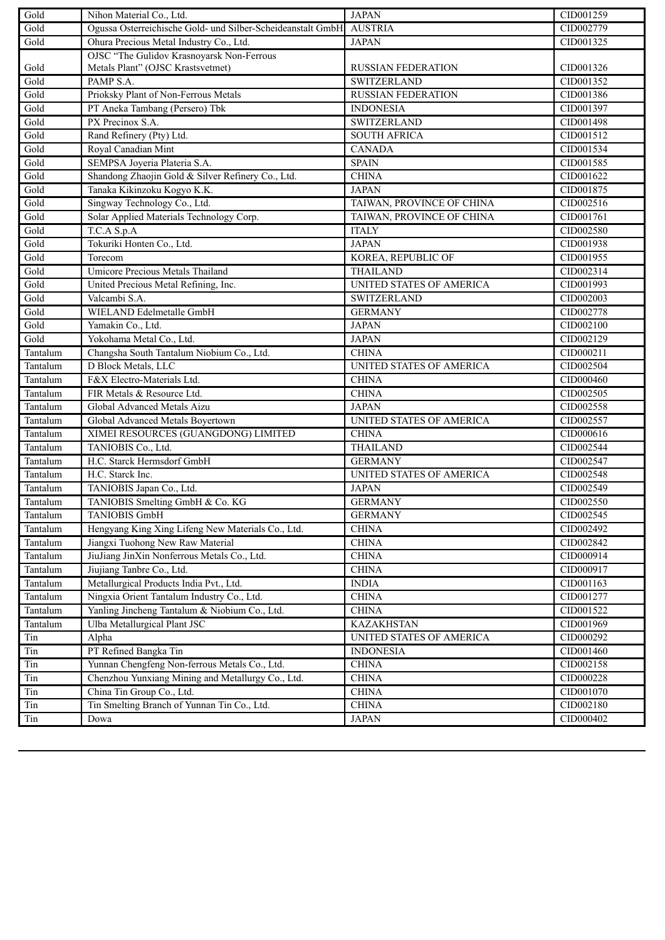| Gold     | Nihon Material Co., Ltd.                                    | <b>JAPAN</b>                    | CID001259 |
|----------|-------------------------------------------------------------|---------------------------------|-----------|
| Gold     | Ogussa Osterreichische Gold- und Silber-Scheideanstalt GmbH | <b>AUSTRIA</b>                  | CID002779 |
| Gold     | Ohura Precious Metal Industry Co., Ltd.                     | <b>JAPAN</b>                    | CID001325 |
|          | OJSC "The Gulidov Krasnoyarsk Non-Ferrous                   |                                 |           |
| Gold     | Metals Plant" (OJSC Krastsvetmet)                           | <b>RUSSIAN FEDERATION</b>       | CID001326 |
| Gold     | PAMP S.A.                                                   | <b>SWITZERLAND</b>              | CID001352 |
| Gold     | Prioksky Plant of Non-Ferrous Metals                        | <b>RUSSIAN FEDERATION</b>       | CID001386 |
| Gold     | PT Aneka Tambang (Persero) Tbk                              | <b>INDONESIA</b>                | CID001397 |
| Gold     | PX Precinox S.A.                                            | <b>SWITZERLAND</b>              | CID001498 |
| Gold     | Rand Refinery (Pty) Ltd.                                    | <b>SOUTH AFRICA</b>             | CID001512 |
| Gold     | Royal Canadian Mint                                         | <b>CANADA</b>                   | CID001534 |
| Gold     | SEMPSA Joyeria Plateria S.A.                                | <b>SPAIN</b>                    | CID001585 |
| Gold     | Shandong Zhaojin Gold & Silver Refinery Co., Ltd.           | <b>CHINA</b>                    | CID001622 |
| Gold     | Tanaka Kikinzoku Kogyo K.K.                                 | <b>JAPAN</b>                    | CID001875 |
| Gold     | Singway Technology Co., Ltd.                                | TAIWAN, PROVINCE OF CHINA       | CID002516 |
| Gold     | Solar Applied Materials Technology Corp.                    | TAIWAN, PROVINCE OF CHINA       | CID001761 |
| Gold     | T.C.A S.p.A                                                 | <b>ITALY</b>                    | CID002580 |
| Gold     | Tokuriki Honten Co., Ltd.                                   | <b>JAPAN</b>                    | CID001938 |
| Gold     | Torecom                                                     | KOREA, REPUBLIC OF              | CID001955 |
| Gold     | Umicore Precious Metals Thailand                            | <b>THAILAND</b>                 | CID002314 |
| Gold     | United Precious Metal Refining, Inc.                        | UNITED STATES OF AMERICA        | CID001993 |
| Gold     | Valcambi S.A.                                               | <b>SWITZERLAND</b>              | CID002003 |
| Gold     | WIELAND Edelmetalle GmbH                                    | <b>GERMANY</b>                  | CID002778 |
| Gold     | Yamakin Co., Ltd.                                           | <b>JAPAN</b>                    | CID002100 |
| Gold     | Yokohama Metal Co., Ltd.                                    | <b>JAPAN</b>                    | CID002129 |
| Tantalum | Changsha South Tantalum Niobium Co., Ltd.                   | <b>CHINA</b>                    | CID000211 |
| Tantalum | D Block Metals, LLC                                         | <b>UNITED STATES OF AMERICA</b> | CID002504 |
| Tantalum | F&X Electro-Materials Ltd.                                  | <b>CHINA</b>                    | CID000460 |
| Tantalum | FIR Metals & Resource Ltd.                                  | <b>CHINA</b>                    | CID002505 |
| Tantalum | Global Advanced Metals Aizu                                 | <b>JAPAN</b>                    | CID002558 |
| Tantalum | Global Advanced Metals Boyertown                            | UNITED STATES OF AMERICA        | CID002557 |
| Tantalum | XIMEI RESOURCES (GUANGDONG) LIMITED                         | <b>CHINA</b>                    | CID000616 |
| Tantalum | TANIOBIS Co., Ltd.                                          | <b>THAILAND</b>                 | CID002544 |
| Tantalum | H.C. Starck Hermsdorf GmbH                                  | <b>GERMANY</b>                  | CID002547 |
| Tantalum | H.C. Starck Inc.                                            | UNITED STATES OF AMERICA        | CID002548 |
| Tantalum | TANIOBIS Japan Co., Ltd.                                    | <b>JAPAN</b>                    | CID002549 |
| Tantalum | TANIOBIS Smelting GmbH & Co. KG                             | <b>GERMANY</b>                  | CID002550 |
| Tantalum | <b>TANIOBIS GmbH</b>                                        | <b>GERMANY</b>                  | CID002545 |
| Tantalum | Hengyang King Xing Lifeng New Materials Co., Ltd.           | <b>CHINA</b>                    | CID002492 |
| Tantalum | Jiangxi Tuohong New Raw Material                            | <b>CHINA</b>                    | CID002842 |
| Tantalum | JiuJiang JinXin Nonferrous Metals Co., Ltd.                 | <b>CHINA</b>                    | CID000914 |
| Tantalum | Jiujiang Tanbre Co., Ltd.                                   | <b>CHINA</b>                    | CID000917 |
| Tantalum | Metallurgical Products India Pvt., Ltd.                     | <b>INDIA</b>                    | CID001163 |
| Tantalum | Ningxia Orient Tantalum Industry Co., Ltd.                  | <b>CHINA</b>                    | CID001277 |
| Tantalum | Yanling Jincheng Tantalum & Niobium Co., Ltd.               | <b>CHINA</b>                    | CID001522 |
| Tantalum | Ulba Metallurgical Plant JSC                                | <b>KAZAKHSTAN</b>               | CID001969 |
| Tin      | Alpha                                                       | UNITED STATES OF AMERICA        | CID000292 |
| Tin      | PT Refined Bangka Tin                                       | <b>INDONESIA</b>                | CID001460 |
| Tin      | Yunnan Chengfeng Non-ferrous Metals Co., Ltd.               | <b>CHINA</b>                    | CID002158 |
| $\rm{T}$ | Chenzhou Yunxiang Mining and Metallurgy Co., Ltd.           | <b>CHINA</b>                    | CID000228 |
| Tin      | China Tin Group Co., Ltd.                                   | <b>CHINA</b>                    | CID001070 |
| Tin      | Tin Smelting Branch of Yunnan Tin Co., Ltd.                 | <b>CHINA</b>                    | CID002180 |
| $\rm{T}$ | Dowa                                                        | JAPAN                           | CID000402 |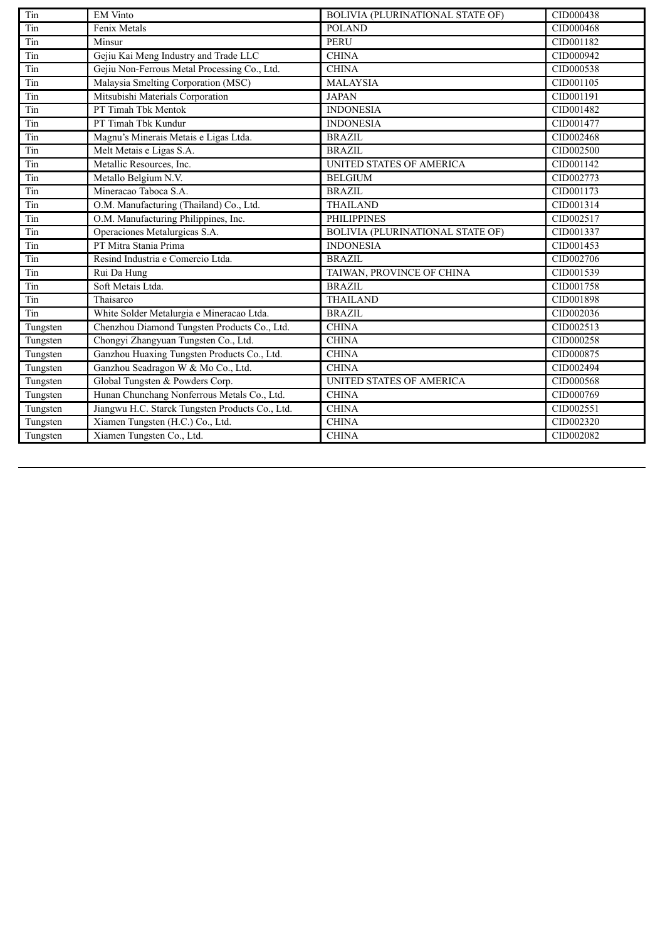| Tin      | <b>EM Vinto</b>                                 | <b>BOLIVIA (PLURINATIONAL STATE OF)</b> | CID000438 |
|----------|-------------------------------------------------|-----------------------------------------|-----------|
| Tin      | Fenix Metals                                    | <b>POLAND</b>                           | CID000468 |
| Tin      | Minsur                                          | <b>PERU</b>                             | CID001182 |
| Tin      | Gejiu Kai Meng Industry and Trade LLC           | <b>CHINA</b>                            | CID000942 |
| Tin      | Gejiu Non-Ferrous Metal Processing Co., Ltd.    | <b>CHINA</b>                            | CID000538 |
| Tin      | Malaysia Smelting Corporation (MSC)             | <b>MALAYSIA</b>                         | CID001105 |
| Tin      | Mitsubishi Materials Corporation                | <b>JAPAN</b>                            | CID001191 |
| Tin      | PT Timah Tbk Mentok                             | <b>INDONESIA</b>                        | CID001482 |
| Tin      | PT Timah Tbk Kundur                             | <b>INDONESIA</b>                        | CID001477 |
| Tin      | Magnu's Minerais Metais e Ligas Ltda.           | <b>BRAZIL</b>                           | CID002468 |
| Tin      | Melt Metais e Ligas S.A.                        | <b>BRAZIL</b>                           | CID002500 |
| Tin      | Metallic Resources, Inc.                        | <b>UNITED STATES OF AMERICA</b>         | CID001142 |
| Tin      | Metallo Belgium N.V.                            | <b>BELGIUM</b>                          | CID002773 |
| Tin      | Mineracao Taboca S.A.                           | BRAZIL                                  | CID001173 |
| Tin      | O.M. Manufacturing (Thailand) Co., Ltd.         | <b>THAILAND</b>                         | CID001314 |
| Tin      | O.M. Manufacturing Philippines, Inc.            | <b>PHILIPPINES</b>                      | CID002517 |
| Tin      | Operaciones Metalurgicas S.A.                   | BOLIVIA (PLURINATIONAL STATE OF)        | CID001337 |
| Tin      | PT Mitra Stania Prima                           | <b>INDONESIA</b>                        | CID001453 |
| Tin      | Resind Industria e Comercio Ltda.               | <b>BRAZIL</b>                           | CID002706 |
| Tin      | Rui Da Hung                                     | TAIWAN, PROVINCE OF CHINA               | CID001539 |
| Tin      | Soft Metais Ltda.                               | <b>BRAZIL</b>                           | CID001758 |
| Tin      | Thaisarco                                       | <b>THAILAND</b>                         | CID001898 |
| Tin      | White Solder Metalurgia e Mineracao Ltda.       | <b>BRAZIL</b>                           | CID002036 |
| Tungsten | Chenzhou Diamond Tungsten Products Co., Ltd.    | <b>CHINA</b>                            | CID002513 |
| Tungsten | Chongyi Zhangyuan Tungsten Co., Ltd.            | <b>CHINA</b>                            | CID000258 |
| Tungsten | Ganzhou Huaxing Tungsten Products Co., Ltd.     | <b>CHINA</b>                            | CID000875 |
| Tungsten | Ganzhou Seadragon W & Mo Co., Ltd.              | <b>CHINA</b>                            | CID002494 |
| Tungsten | Global Tungsten & Powders Corp.                 | <b>UNITED STATES OF AMERICA</b>         | CID000568 |
| Tungsten | Hunan Chunchang Nonferrous Metals Co., Ltd.     | <b>CHINA</b>                            | CID000769 |
| Tungsten | Jiangwu H.C. Starck Tungsten Products Co., Ltd. | <b>CHINA</b>                            | CID002551 |
| Tungsten | Xiamen Tungsten (H.C.) Co., Ltd.                | <b>CHINA</b>                            | CID002320 |
| Tungsten | Xiamen Tungsten Co., Ltd.                       | <b>CHINA</b>                            | CID002082 |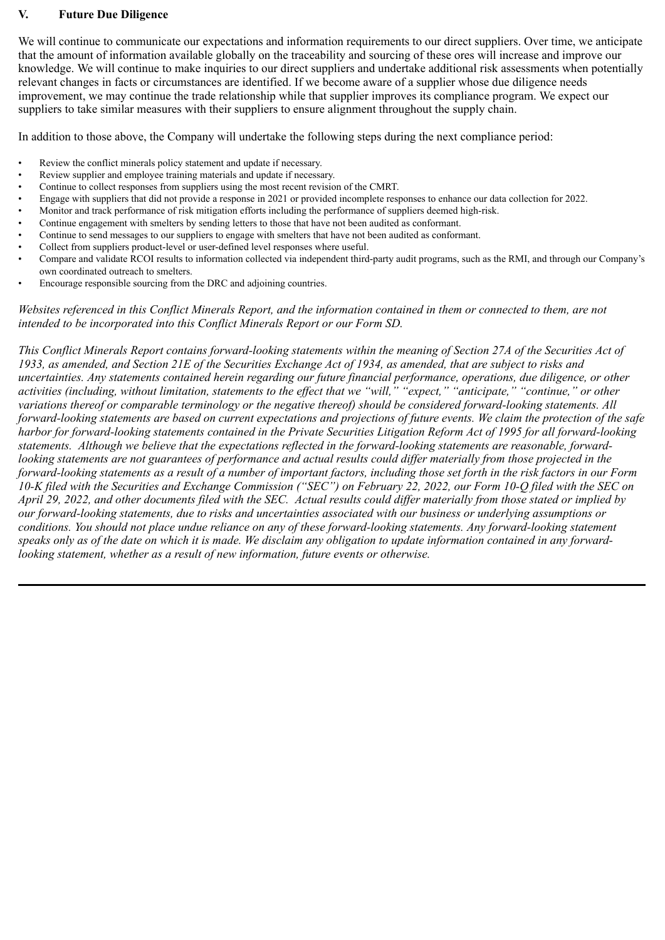#### **V. Future Due Diligence**

We will continue to communicate our expectations and information requirements to our direct suppliers. Over time, we anticipate that the amount of information available globally on the traceability and sourcing of these ores will increase and improve our knowledge. We will continue to make inquiries to our direct suppliers and undertake additional risk assessments when potentially relevant changes in facts or circumstances are identified. If we become aware of a supplier whose due diligence needs improvement, we may continue the trade relationship while that supplier improves its compliance program. We expect our suppliers to take similar measures with their suppliers to ensure alignment throughout the supply chain.

In addition to those above, the Company will undertake the following steps during the next compliance period:

- Review the conflict minerals policy statement and update if necessary.
- Review supplier and employee training materials and update if necessary.
- Continue to collect responses from suppliers using the most recent revision of the CMRT.
- Engage with suppliers that did not provide a response in 2021 or provided incomplete responses to enhance our data collection for 2022.
- Monitor and track performance of risk mitigation efforts including the performance of suppliers deemed high-risk.
- Continue engagement with smelters by sending letters to those that have not been audited as conformant.
- Continue to send messages to our suppliers to engage with smelters that have not been audited as conformant.
- Collect from suppliers product-level or user-defined level responses where useful.
- Compare and validate RCOI results to information collected via independent third-party audit programs, such as the RMI, and through our Company's own coordinated outreach to smelters.
- Encourage responsible sourcing from the DRC and adjoining countries.

*Websites referenced in this Conflict Minerals Report, and the information contained in them or connected to them, are not intended to be incorporated into this Conflict Minerals Report or our Form SD.*

*This Conflict Minerals Report contains forward-looking statements within the meaning of Section 27A of the Securities Act of 1933, as amended, and Section 21E of the Securities Exchange Act of 1934, as amended, that are subject to risks and uncertainties. Any statements contained herein regarding our future financial performance, operations, due diligence, or other activities (including, without limitation, statements to the effect that we "will," "expect," "anticipate," "continue," or other variations thereof or comparable terminology or the negative thereof) should be considered forward-looking statements. All forward-looking statements are based on current expectations and projections of future events. We claim the protection of the safe harbor for forward-looking statements contained in the Private Securities Litigation Reform Act of 1995 for all forward-looking statements. Although we believe that the expectations reflected in the forward-looking statements are reasonable, forwardlooking statements are not guarantees of performance and actual results could differ materially from those projected in the forward-looking statements as a result of a number of important factors, including those set forth in the risk factors in our Form 10-K filed with the Securities and Exchange Commission ("SEC") on February 22, 2022, our Form 10-Q filed with the SEC on April 29, 2022, and other documents filed with the SEC. Actual results could differ materially from those stated or implied by our forward-looking statements, due to risks and uncertainties associated with our business or underlying assumptions or conditions. You should not place undue reliance on any of these forward-looking statements. Any forward-looking statement speaks only as of the date on which it is made. We disclaim any obligation to update information contained in any forwardlooking statement, whether as a result of new information, future events or otherwise.*